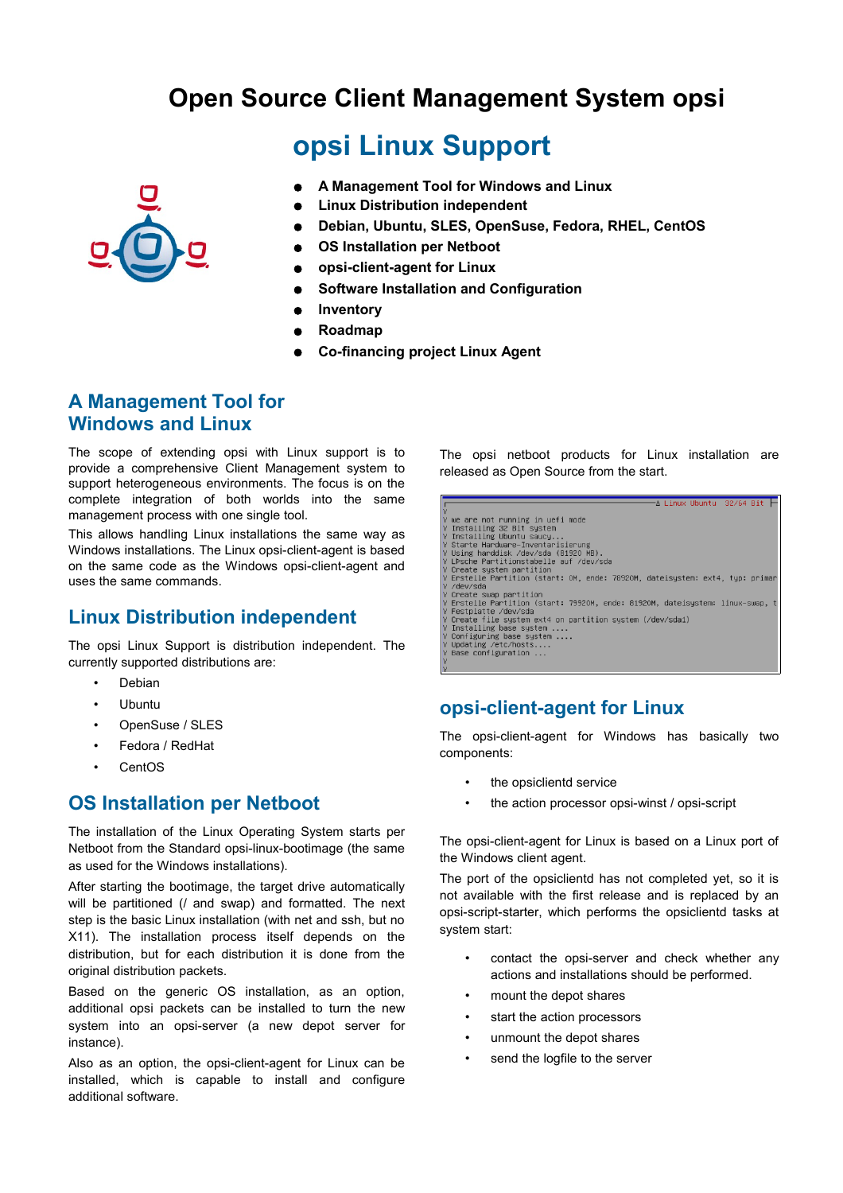# **Open Source Client Management System opsi**

# **opsi Linux Support**

- **A Management Tool for Windows and Linux**
- **Linux Distribution independent**
- **Debian, Ubuntu, SLES, OpenSuse, Fedora, RHEL, CentOS**
- **OS Installation per Netboot**
- **opsi-client-agent for Linux**
- **Software Installation and Configuration**
- **Inventory**
- **Roadmap**
- **Co-financing project Linux Agent**

### **A Management Tool for Windows and Linux**

The scope of extending opsi with Linux support is to provide a comprehensive Client Management system to support heterogeneous environments. The focus is on the complete integration of both worlds into the same management process with one single tool.

This allows handling Linux installations the same way as Windows installations. The Linux opsi-client-agent is based on the same code as the Windows opsi-client-agent and uses the same commands.

#### **Linux Distribution independent**

The opsi Linux Support is distribution independent. The currently supported distributions are:

- **Debian**
- Ubuntu
- OpenSuse / SLES
- Fedora / RedHat
- **CentOS**

# **OS Installation per Netboot**

The installation of the Linux Operating System starts per Netboot from the Standard opsi-linux-bootimage (the same as used for the Windows installations).

After starting the bootimage, the target drive automatically will be partitioned (/ and swap) and formatted. The next step is the basic Linux installation (with net and ssh, but no X11). The installation process itself depends on the distribution, but for each distribution it is done from the original distribution packets.

Based on the generic OS installation, as an option, additional opsi packets can be installed to turn the new system into an opsi-server (a new depot server for instance).

Also as an option, the opsi-client-agent for Linux can be installed, which is capable to install and configure additional software.

The opsi netboot products for Linux installation are released as Open Source from the start.

| A Linux Ubuntu - 32/64 Bit                                                   |  |
|------------------------------------------------------------------------------|--|
|                                                                              |  |
| we are not running in uefi mode                                              |  |
| Installing 32 Bit system                                                     |  |
| Installing Ubuntu saucy                                                      |  |
| Starte Hardware-Inventarisierung                                             |  |
| Using harddisk /dev/sda (81920 MB).                                          |  |
| LPsche Partitionstabelle auf /dev/sda                                        |  |
| Create system partition                                                      |  |
| Erstelle Partition (start: OM, ende: 7892OM, dateisystem: ext4, typ: primary |  |
| /dev/sda                                                                     |  |
| Create swap partition                                                        |  |
| Y Erstelle Partition (start: 79920M, ende: 81920M, dateisystem: linux–swap,  |  |
| Festplatte /dev/sda                                                          |  |
| Create file system ext4 on partition system (/dev/sda1)                      |  |
| Installing base system                                                       |  |
| Configuring base system                                                      |  |
| Updating /etc/hosts                                                          |  |
| Base configuration                                                           |  |
|                                                                              |  |
|                                                                              |  |

#### **opsi-client-agent for Linux**

The opsi-client-agent for Windows has basically two components:

- the opsiclientd service
- the action processor opsi-winst / opsi-script

The opsi-client-agent for Linux is based on a Linux port of the Windows client agent.

The port of the opsiclientd has not completed yet, so it is not available with the first release and is replaced by an opsi-script-starter, which performs the opsiclientd tasks at system start:

- contact the opsi-server and check whether any actions and installations should be performed.
- mount the depot shares
- start the action processors
- unmount the depot shares
- send the logfile to the server